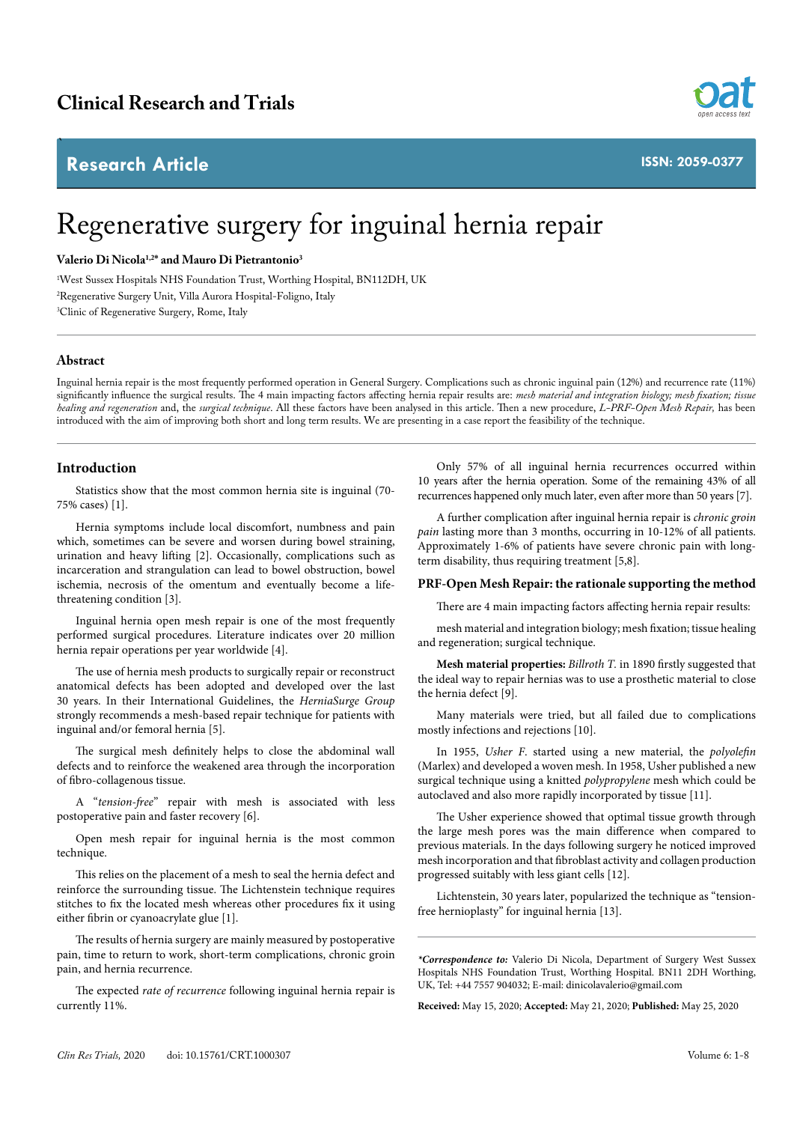# **Research Article**



**ISSN: 2059-0377**

# Regenerative surgery for inguinal hernia repair

**Valerio Di Nicola1,2\* and Mauro Di Pietrantonio3** 

1 West Sussex Hospitals NHS Foundation Trust, Worthing Hospital, BN112DH, UK 2 Regenerative Surgery Unit, Villa Aurora Hospital-Foligno, Italy 3 Clinic of Regenerative Surgery, Rome, Italy

# **Abstract**

`

Inguinal hernia repair is the most frequently performed operation in General Surgery. Complications such as chronic inguinal pain (12%) and recurrence rate (11%) significantly influence the surgical results. The 4 main impacting factors affecting hernia repair results are: *mesh material and integration biology; mesh fixation; tissue healing and regeneration* and, the *surgical technique*. All these factors have been analysed in this article. Then a new procedure, *L-PRF-Open Mesh Repair,* has been introduced with the aim of improving both short and long term results. We are presenting in a case report the feasibility of the technique.

# **Introduction**

Statistics show that the most common hernia site is inguinal (70- 75% cases) [1].

Hernia symptoms include local discomfort, numbness and pain which, sometimes can be severe and worsen during bowel straining, urination and heavy lifting [2]. Occasionally, complications such as incarceration and strangulation can lead to bowel obstruction, bowel ischemia, necrosis of the omentum and eventually become a lifethreatening condition [3].

Inguinal hernia open mesh repair is one of the most frequently performed surgical procedures. Literature indicates over 20 million hernia repair operations per year worldwide [4].

The use of hernia mesh products to surgically repair or reconstruct anatomical defects has been adopted and developed over the last 30 years. In their International Guidelines, the *HerniaSurge Group* strongly recommends a mesh-based repair technique for patients with inguinal and/or femoral hernia [5].

The surgical mesh definitely helps to close the abdominal wall defects and to reinforce the weakened area through the incorporation of fibro-collagenous tissue.

A "*tension-free*" repair with mesh is associated with less postoperative pain and faster recovery [6].

Open mesh repair for inguinal hernia is the most common technique.

This relies on the placement of a mesh to seal the hernia defect and reinforce the surrounding tissue. The Lichtenstein technique requires stitches to fix the located mesh whereas other procedures fix it using either fibrin or cyanoacrylate glue [1].

The results of hernia surgery are mainly measured by postoperative pain, time to return to work, short-term complications, chronic groin pain, and hernia recurrence.

The expected *rate of recurrence* following inguinal hernia repair is currently 11%.

Only 57% of all inguinal hernia recurrences occurred within 10 years after the hernia operation. Some of the remaining 43% of all recurrences happened only much later, even after more than 50 years [7].

A further complication after inguinal hernia repair is *chronic groin pain* lasting more than 3 months, occurring in 10-12% of all patients. Approximately 1-6% of patients have severe chronic pain with longterm disability, thus requiring treatment [5,8].

# **PRF-Open Mesh Repair: the rationale supporting the method**

There are 4 main impacting factors affecting hernia repair results:

mesh material and integration biology; mesh fixation; tissue healing and regeneration; surgical technique.

**Mesh material properties:** *Billroth T.* in 1890 firstly suggested that the ideal way to repair hernias was to use a prosthetic material to close the hernia defect [9].

Many materials were tried, but all failed due to complications mostly infections and rejections [10].

In 1955, *Usher F*. started using a new material, the *polyolefin* (Marlex) and developed a woven mesh. In 1958, Usher published a new surgical technique using a knitted *polypropylene* mesh which could be autoclaved and also more rapidly incorporated by tissue [11].

The Usher experience showed that optimal tissue growth through the large mesh pores was the main difference when compared to previous materials. In the days following surgery he noticed improved mesh incorporation and that fibroblast activity and collagen production progressed suitably with less giant cells [12].

Lichtenstein, 30 years later, popularized the technique as "tensionfree hernioplasty" for inguinal hernia [13].

*\*Correspondence to:* Valerio Di Nicola, Department of Surgery West Sussex Hospitals NHS Foundation Trust, Worthing Hospital. BN11 2DH Worthing, UK, Tel: +44 7557 904032; E-mail: dinicolavalerio@gmail.com

**Received:** May 15, 2020; **Accepted:** May 21, 2020; **Published:** May 25, 2020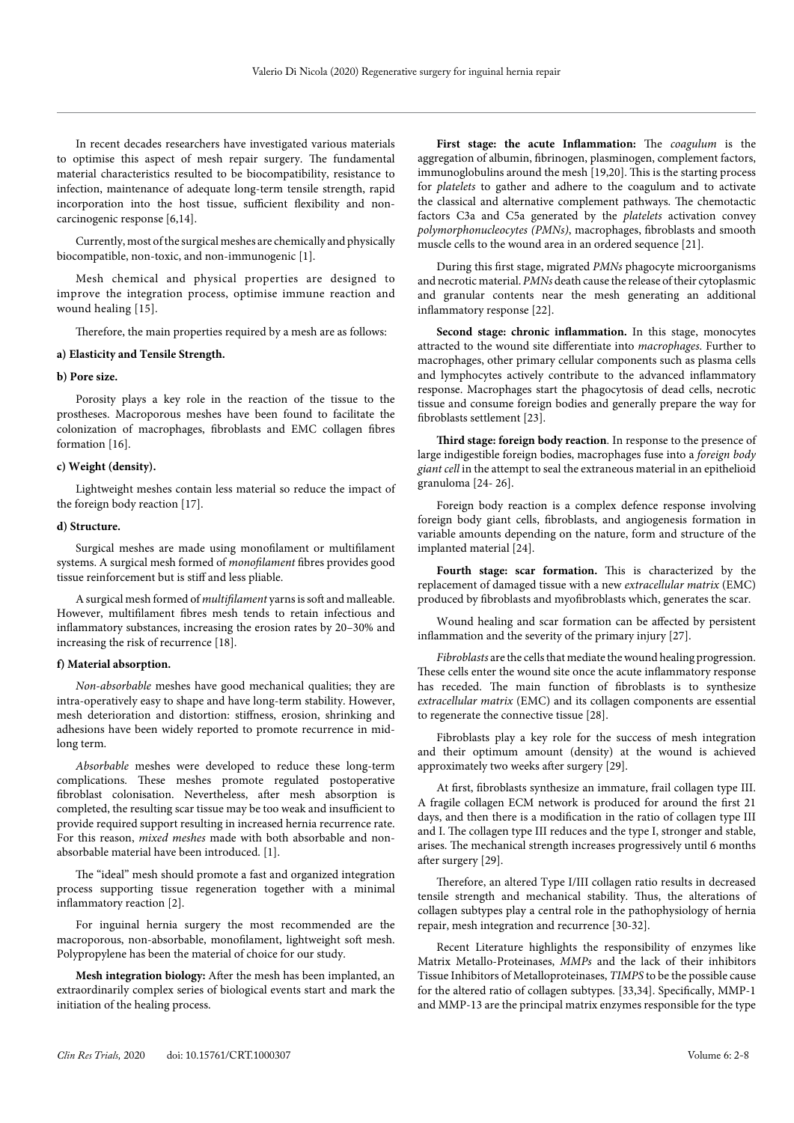In recent decades researchers have investigated various materials to optimise this aspect of mesh repair surgery. The fundamental material characteristics resulted to be biocompatibility, resistance to infection, maintenance of adequate long-term tensile strength, rapid incorporation into the host tissue, sufficient flexibility and noncarcinogenic response [6,14].

Currently, most of the surgical meshes are chemically and physically biocompatible, non-toxic, and non-immunogenic [1].

Mesh chemical and physical properties are designed to improve the integration process, optimise immune reaction and wound healing [15].

Therefore, the main properties required by a mesh are as follows:

#### **a) Elasticity and Tensile Strength.**

#### **b) Pore size.**

Porosity plays a key role in the reaction of the tissue to the prostheses. Macroporous meshes have been found to facilitate the colonization of macrophages, fibroblasts and EMC collagen fibres formation [16].

#### **c) Weight (density).**

Lightweight meshes contain less material so reduce the impact of the foreign body reaction [17].

#### **d) Structure.**

Surgical meshes are made using monofilament or multifilament systems. A surgical mesh formed of *monofilament* fibres provides good tissue reinforcement but is stiff and less pliable.

A surgical mesh formed of *multifilament* yarns is soft and malleable. However, multifilament fibres mesh tends to retain infectious and inflammatory substances, increasing the erosion rates by 20–30% and increasing the risk of recurrence [18].

# **f) Material absorption.**

*Non-absorbable* meshes have good mechanical qualities; they are intra-operatively easy to shape and have long-term stability. However, mesh deterioration and distortion: stiffness, erosion, shrinking and adhesions have been widely reported to promote recurrence in midlong term.

*Absorbable* meshes were developed to reduce these long-term complications. These meshes promote regulated postoperative fibroblast colonisation. Nevertheless, after mesh absorption is completed, the resulting scar tissue may be too weak and insufficient to provide required support resulting in increased hernia recurrence rate. For this reason, *mixed meshes* made with both absorbable and nonabsorbable material have been introduced. [1].

The "ideal" mesh should promote a fast and organized integration process supporting tissue regeneration together with a minimal inflammatory reaction [2].

For inguinal hernia surgery the most recommended are the macroporous, non-absorbable, monofilament, lightweight soft mesh. Polypropylene has been the material of choice for our study.

**Mesh integration biology:** After the mesh has been implanted, an extraordinarily complex series of biological events start and mark the initiation of the healing process.

**First stage: the acute Inflammation:** The *coagulum* is the aggregation of albumin, fibrinogen, plasminogen, complement factors, immunoglobulins around the mesh [19,20]. This is the starting process for *platelets* to gather and adhere to the coagulum and to activate the classical and alternative complement pathways. The chemotactic factors C3a and C5a generated by the *platelets* activation convey *polymorphonucleocytes (PMNs)*, macrophages, fibroblasts and smooth muscle cells to the wound area in an ordered sequence [21].

During this first stage, migrated *PMNs* phagocyte microorganisms and necrotic material. *PMNs* death cause the release of their cytoplasmic and granular contents near the mesh generating an additional inflammatory response [22].

**Second stage: chronic inflammation.** In this stage, monocytes attracted to the wound site differentiate into *macrophages*. Further to macrophages, other primary cellular components such as plasma cells and lymphocytes actively contribute to the advanced inflammatory response. Macrophages start the phagocytosis of dead cells, necrotic tissue and consume foreign bodies and generally prepare the way for fibroblasts settlement [23].

**Third stage: foreign body reaction**. In response to the presence of large indigestible foreign bodies, macrophages fuse into a *foreign body giant cell* in the attempt to seal the extraneous material in an epithelioid granuloma [24- 26].

Foreign body reaction is a complex defence response involving foreign body giant cells, fibroblasts, and angiogenesis formation in variable amounts depending on the nature, form and structure of the implanted material [24].

**Fourth stage: scar formation.** This is characterized by the replacement of damaged tissue with a new *extracellular matrix* (EMC) produced by fibroblasts and myofibroblasts which, generates the scar.

Wound healing and scar formation can be affected by persistent inflammation and the severity of the primary injury [27].

*Fibroblasts* are the cells that mediate the wound healing progression. These cells enter the wound site once the acute inflammatory response has receded. The main function of fibroblasts is to synthesize *extracellular matrix* (EMC) and its collagen components are essential to regenerate the connective tissue [28].

Fibroblasts play a key role for the success of mesh integration and their optimum amount (density) at the wound is achieved approximately two weeks after surgery [29].

At first, fibroblasts synthesize an immature, frail collagen type III. A fragile collagen ECM network is produced for around the first 21 days, and then there is a modification in the ratio of collagen type III and I. The collagen type III reduces and the type I, stronger and stable, arises. The mechanical strength increases progressively until 6 months after surgery [29].

Therefore, an altered Type I/III collagen ratio results in decreased tensile strength and mechanical stability. Thus, the alterations of collagen subtypes play a central role in the pathophysiology of hernia repair, mesh integration and recurrence [30-32].

Recent Literature highlights the responsibility of enzymes like Matrix Metallo-Proteinases, *MMPs* and the lack of their inhibitors Tissue Inhibitors of Metalloproteinases, *TIMPS* to be the possible cause for the altered ratio of collagen subtypes. [33,34]. Specifically, MMP-1 and MMP-13 are the principal matrix enzymes responsible for the type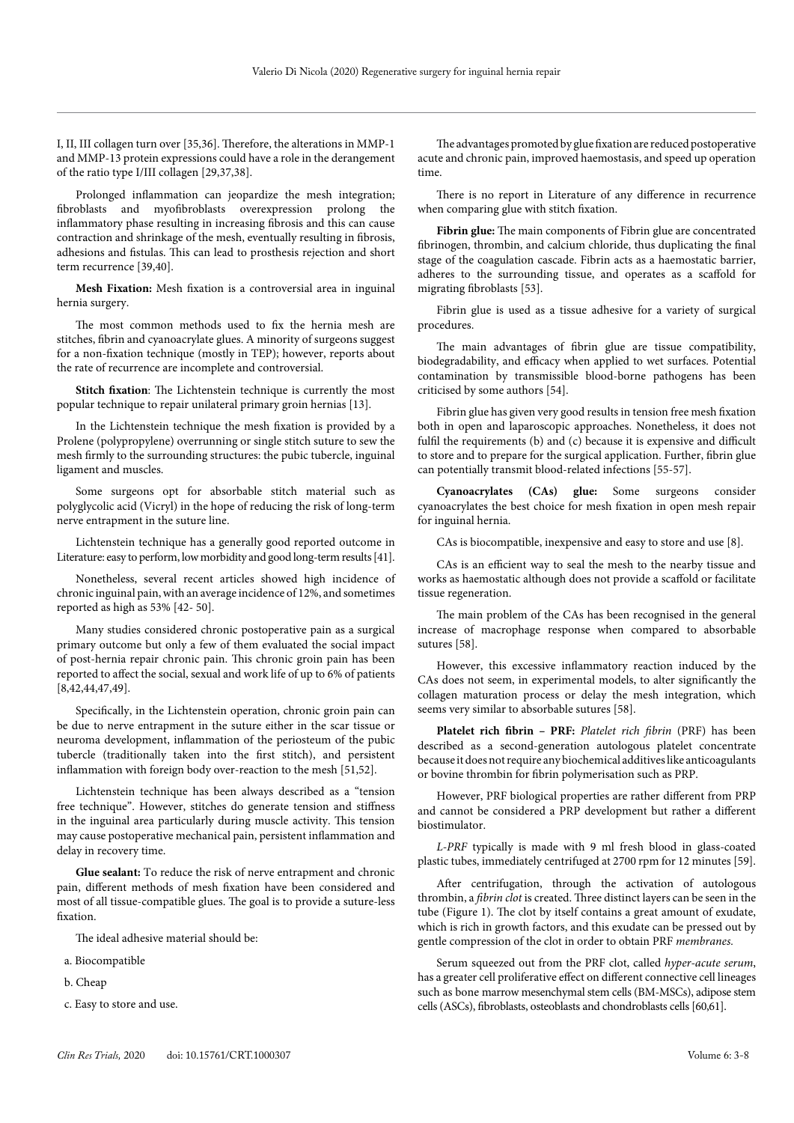I, II, III collagen turn over [35,36]. Therefore, the alterations in MMP-1 and MMP-13 protein expressions could have a role in the derangement of the ratio type I/III collagen [29,37,38].

Prolonged inflammation can jeopardize the mesh integration; fibroblasts and myofibroblasts overexpression prolong the inflammatory phase resulting in increasing fibrosis and this can cause contraction and shrinkage of the mesh, eventually resulting in fibrosis, adhesions and fistulas. This can lead to prosthesis rejection and short term recurrence [39,40].

**Mesh Fixation:** Mesh fixation is a controversial area in inguinal hernia surgery.

The most common methods used to fix the hernia mesh are stitches, fibrin and cyanoacrylate glues. A minority of surgeons suggest for a non-fixation technique (mostly in TEP); however, reports about the rate of recurrence are incomplete and controversial.

**Stitch fixation**: The Lichtenstein technique is currently the most popular technique to repair unilateral primary groin hernias [13].

In the Lichtenstein technique the mesh fixation is provided by a Prolene (polypropylene) overrunning or single stitch suture to sew the mesh firmly to the surrounding structures: the pubic tubercle, inguinal ligament and muscles.

Some surgeons opt for absorbable stitch material such as polyglycolic acid (Vicryl) in the hope of reducing the risk of long-term nerve entrapment in the suture line.

Lichtenstein technique has a generally good reported outcome in Literature: easy to perform, low morbidity and good long-term results [41].

Nonetheless, several recent articles showed high incidence of chronic inguinal pain, with an average incidence of 12%, and sometimes reported as high as 53% [42- 50].

Many studies considered chronic postoperative pain as a surgical primary outcome but only a few of them evaluated the social impact of post-hernia repair chronic pain. This chronic groin pain has been reported to affect the social, sexual and work life of up to 6% of patients [8,42,44,47,49].

Specifically, in the Lichtenstein operation, chronic groin pain can be due to nerve entrapment in the suture either in the scar tissue or neuroma development, inflammation of the periosteum of the pubic tubercle (traditionally taken into the first stitch), and persistent inflammation with foreign body over-reaction to the mesh [51,52].

Lichtenstein technique has been always described as a "tension free technique". However, stitches do generate tension and stiffness in the inguinal area particularly during muscle activity. This tension may cause postoperative mechanical pain, persistent inflammation and delay in recovery time.

**Glue sealant:** To reduce the risk of nerve entrapment and chronic pain, different methods of mesh fixation have been considered and most of all tissue-compatible glues. The goal is to provide a suture-less fixation.

The ideal adhesive material should be:

- a. Biocompatible
- b. Cheap
- c. Easy to store and use.

The advantages promoted by glue fixation are reduced postoperative acute and chronic pain, improved haemostasis, and speed up operation time.

There is no report in Literature of any difference in recurrence when comparing glue with stitch fixation.

**Fibrin glue:** The main components of Fibrin glue are concentrated fibrinogen, thrombin, and calcium chloride, thus duplicating the final stage of the coagulation cascade. Fibrin acts as a haemostatic barrier, adheres to the surrounding tissue, and operates as a scaffold for migrating fibroblasts [53].

Fibrin glue is used as a tissue adhesive for a variety of surgical procedures.

The main advantages of fibrin glue are tissue compatibility, biodegradability, and efficacy when applied to wet surfaces. Potential contamination by transmissible blood-borne pathogens has been criticised by some authors [54].

Fibrin glue has given very good results in tension free mesh fixation both in open and laparoscopic approaches. Nonetheless, it does not fulfil the requirements (b) and (c) because it is expensive and difficult to store and to prepare for the surgical application. Further, fibrin glue can potentially transmit blood-related infections [55-57].

**Cyanoacrylates (CAs) glue:** Some surgeons consider cyanoacrylates the best choice for mesh fixation in open mesh repair for inguinal hernia.

CAs is biocompatible, inexpensive and easy to store and use [8].

CAs is an efficient way to seal the mesh to the nearby tissue and works as haemostatic although does not provide a scaffold or facilitate tissue regeneration.

The main problem of the CAs has been recognised in the general increase of macrophage response when compared to absorbable sutures [58].

However, this excessive inflammatory reaction induced by the CAs does not seem, in experimental models, to alter significantly the collagen maturation process or delay the mesh integration, which seems very similar to absorbable sutures [58].

**Platelet rich fibrin – PRF:** *Platelet rich fibrin* (PRF) has been described as a second-generation autologous platelet concentrate because it does not require any biochemical additives like anticoagulants or bovine thrombin for fibrin polymerisation such as PRP.

However, PRF biological properties are rather different from PRP and cannot be considered a PRP development but rather a different biostimulator.

*L-PRF* typically is made with 9 ml fresh blood in glass-coated plastic tubes, immediately centrifuged at 2700 rpm for 12 minutes [59].

After centrifugation, through the activation of autologous thrombin, a *fibrin clot* is created. Three distinct layers can be seen in the tube (Figure 1). The clot by itself contains a great amount of exudate, which is rich in growth factors, and this exudate can be pressed out by gentle compression of the clot in order to obtain PRF *membranes.*

Serum squeezed out from the PRF clot, called *hyper-acute serum*, has a greater cell proliferative effect on different connective cell lineages such as bone marrow mesenchymal stem cells (BM-MSCs), adipose stem cells (ASCs), fibroblasts, osteoblasts and chondroblasts cells [60,61].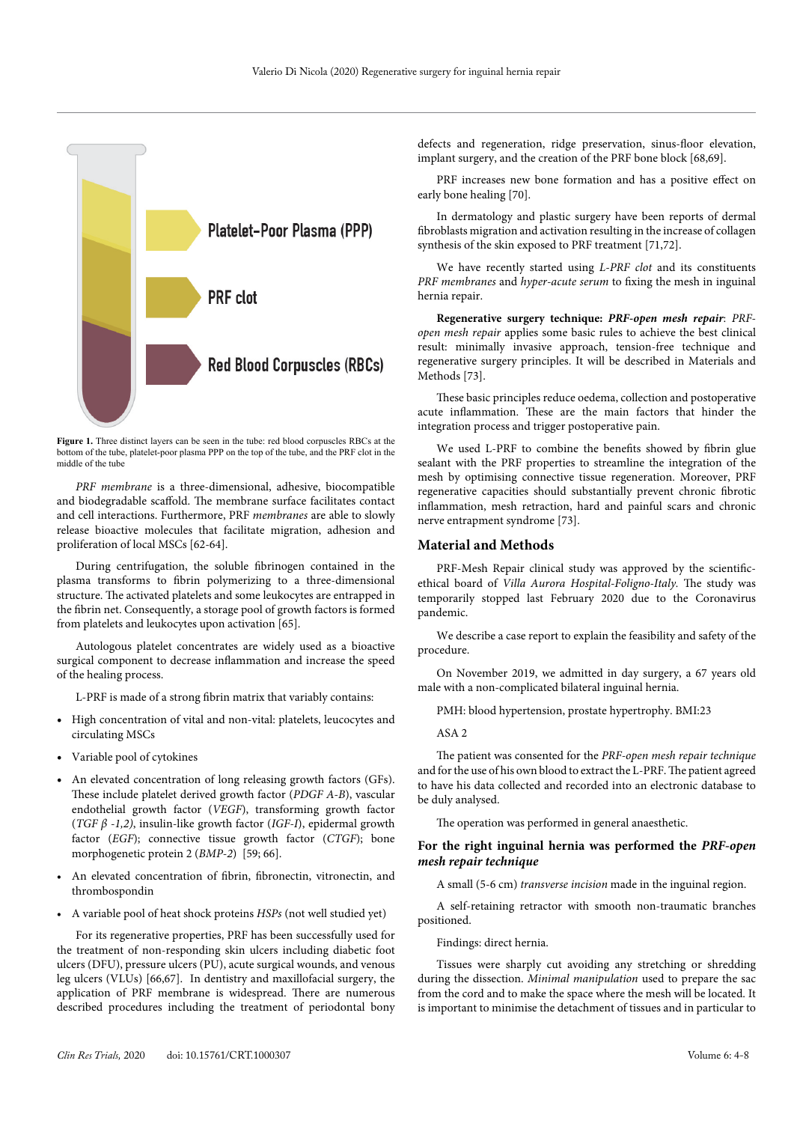

Figure 1. Three distinct layers can be seen in the tube: red blood corpuscles RBCs at the bottom of the tube, platelet-poor plasma PPP on the top of the tube, and the PRF clot in the middle of the tube

*PRF membrane* is a three-dimensional, adhesive, biocompatible and biodegradable scaffold. The membrane surface facilitates contact and cell interactions. Furthermore, PRF *membranes* are able to slowly release bioactive molecules that facilitate migration, adhesion and proliferation of local MSCs [62-64].

During centrifugation, the soluble fibrinogen contained in the plasma transforms to fibrin polymerizing to a three-dimensional structure. The activated platelets and some leukocytes are entrapped in the fibrin net. Consequently, a storage pool of growth factors is formed from platelets and leukocytes upon activation [65].

Autologous platelet concentrates are widely used as a bioactive surgical component to decrease inflammation and increase the speed of the healing process.

L-PRF is made of a strong fibrin matrix that variably contains:

- High concentration of vital and non-vital: platelets, leucocytes and circulating MSCs
- Variable pool of cytokines
- An elevated concentration of long releasing growth factors (GFs). These include platelet derived growth factor (*PDGF A-B*), vascular endothelial growth factor (*VEGF*), transforming growth factor (*TGF β -1,2)*, insulin-like growth factor (*IGF-I*), epidermal growth factor (*EGF*); connective tissue growth factor (*CTGF*); bone morphogenetic protein 2 (*BMP-2*) [59; 66].
- An elevated concentration of fibrin, fibronectin, vitronectin, and thrombospondin
- A variable pool of heat shock proteins *HSPs* (not well studied yet)

For its regenerative properties, PRF has been successfully used for the treatment of non-responding skin ulcers including diabetic foot ulcers (DFU), pressure ulcers (PU), acute surgical wounds, and venous leg ulcers (VLUs) [66,67]. In dentistry and maxillofacial surgery, the application of PRF membrane is widespread. There are numerous described procedures including the treatment of periodontal bony

defects and regeneration, ridge preservation, sinus-floor elevation, implant surgery, and the creation of the PRF bone block [68,69].

PRF increases new bone formation and has a positive effect on early bone healing [70].

In dermatology and plastic surgery have been reports of dermal fibroblasts migration and activation resulting in the increase of collagen synthesis of the skin exposed to PRF treatment [71,72].

We have recently started using *L-PRF clot* and its constituents *PRF membranes* and *hyper-acute serum* to fixing the mesh in inguinal hernia repair.

**Regenerative surgery technique:** *PRF-open mesh repair*: *PRFopen mesh repair* applies some basic rules to achieve the best clinical result: minimally invasive approach, tension-free technique and regenerative surgery principles. It will be described in Materials and Methods [73].

These basic principles reduce oedema, collection and postoperative acute inflammation. These are the main factors that hinder the integration process and trigger postoperative pain.

We used L-PRF to combine the benefits showed by fibrin glue sealant with the PRF properties to streamline the integration of the mesh by optimising connective tissue regeneration. Moreover, PRF regenerative capacities should substantially prevent chronic fibrotic inflammation, mesh retraction, hard and painful scars and chronic nerve entrapment syndrome [73].

#### **Material and Methods**

PRF-Mesh Repair clinical study was approved by the scientificethical board of *Villa Aurora Hospital-Foligno-Italy.* The study was temporarily stopped last February 2020 due to the Coronavirus pandemic.

We describe a case report to explain the feasibility and safety of the procedure.

On November 2019, we admitted in day surgery, a 67 years old male with a non-complicated bilateral inguinal hernia.

PMH: blood hypertension, prostate hypertrophy. BMI:23

ASA 2

The patient was consented for the *PRF-open mesh repair technique* and for the use of his own blood to extract the L-PRF. The patient agreed to have his data collected and recorded into an electronic database to be duly analysed.

The operation was performed in general anaesthetic.

# **For the right inguinal hernia was performed the** *PRF-open mesh repair technique*

A small (5-6 cm) *transverse incision* made in the inguinal region.

A self-retaining retractor with smooth non-traumatic branches positioned.

Findings: direct hernia.

Tissues were sharply cut avoiding any stretching or shredding during the dissection. *Minimal manipulation* used to prepare the sac from the cord and to make the space where the mesh will be located. It is important to minimise the detachment of tissues and in particular to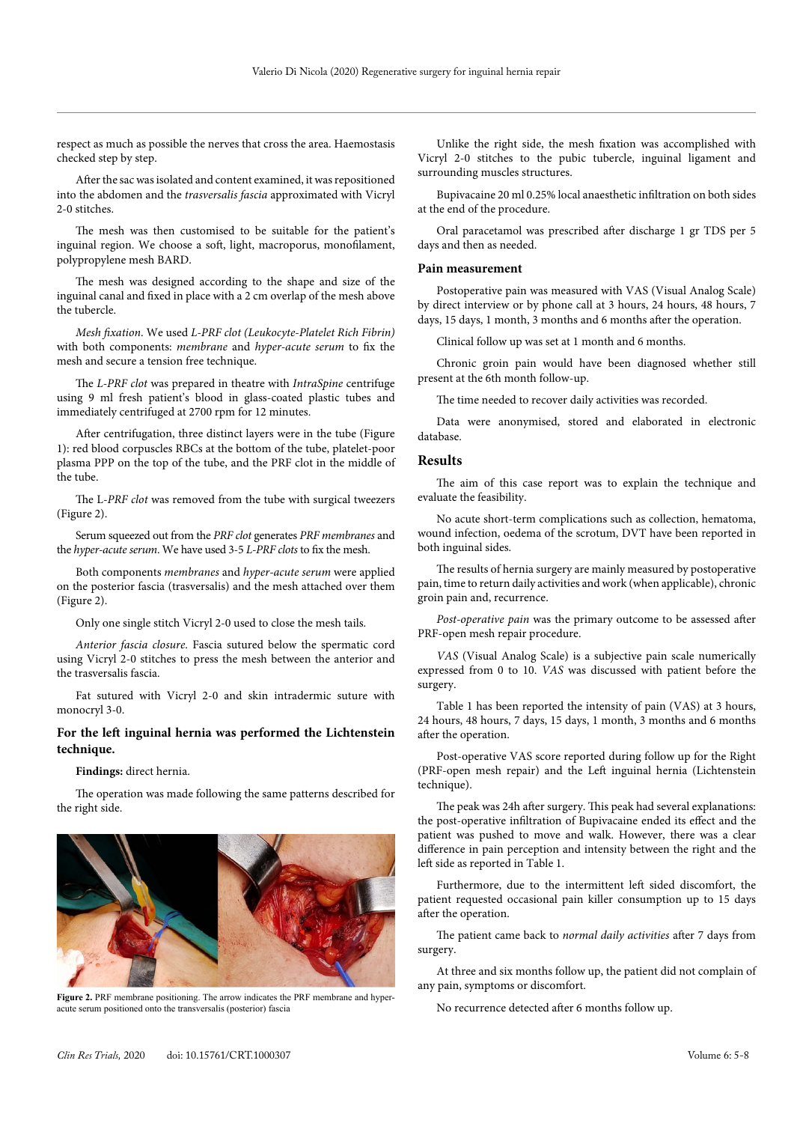respect as much as possible the nerves that cross the area. Haemostasis checked step by step.

After the sac was isolated and content examined, it was repositioned into the abdomen and the *trasversalis fascia* approximated with Vicryl 2-0 stitches.

The mesh was then customised to be suitable for the patient's inguinal region. We choose a soft, light, macroporus, monofilament, polypropylene mesh BARD.

The mesh was designed according to the shape and size of the inguinal canal and fixed in place with a 2 cm overlap of the mesh above the tubercle.

*Mesh fixation*. We used *L-PRF clot (Leukocyte-Platelet Rich Fibrin)* with both components: *membrane* and *hyper-acute serum* to fix the mesh and secure a tension free technique.

The *L-PRF clot* was prepared in theatre with *IntraSpine* centrifuge using 9 ml fresh patient's blood in glass-coated plastic tubes and immediately centrifuged at 2700 rpm for 12 minutes.

After centrifugation, three distinct layers were in the tube (Figure 1): red blood corpuscles RBCs at the bottom of the tube, platelet-poor plasma PPP on the top of the tube, and the PRF clot in the middle of the tube.

The L-*PRF clot* was removed from the tube with surgical tweezers (Figure 2).

Serum squeezed out from the *PRF clot* generates *PRF membranes* and the *hyper-acute serum*. We have used 3-5 *L-PRF clots* to fix the mesh.

Both components *membranes* and *hyper-acute serum* were applied on the posterior fascia (trasversalis) and the mesh attached over them (Figure 2).

Only one single stitch Vicryl 2-0 used to close the mesh tails.

*Anterior fascia closure*. Fascia sutured below the spermatic cord using Vicryl 2-0 stitches to press the mesh between the anterior and the trasversalis fascia.

Fat sutured with Vicryl 2-0 and skin intradermic suture with monocryl 3-0.

# **For the left inguinal hernia was performed the Lichtenstein technique.**

**Findings:** direct hernia.

The operation was made following the same patterns described for the right side.



**Figure 2.** PRF membrane positioning. The arrow indicates the PRF membrane and hyperacute serum positioned onto the transversalis (posterior) fascia

Unlike the right side, the mesh fixation was accomplished with Vicryl 2-0 stitches to the pubic tubercle, inguinal ligament and surrounding muscles structures.

Bupivacaine 20 ml 0.25% local anaesthetic infiltration on both sides at the end of the procedure.

Oral paracetamol was prescribed after discharge 1 gr TDS per 5 days and then as needed.

#### **Pain measurement**

Postoperative pain was measured with VAS (Visual Analog Scale) by direct interview or by phone call at 3 hours, 24 hours, 48 hours, 7 days, 15 days, 1 month, 3 months and 6 months after the operation.

Clinical follow up was set at 1 month and 6 months.

Chronic groin pain would have been diagnosed whether still present at the 6th month follow-up.

The time needed to recover daily activities was recorded.

Data were anonymised, stored and elaborated in electronic database.

# **Results**

The aim of this case report was to explain the technique and evaluate the feasibility.

No acute short-term complications such as collection, hematoma, wound infection, oedema of the scrotum, DVT have been reported in both inguinal sides.

The results of hernia surgery are mainly measured by postoperative pain, time to return daily activities and work (when applicable), chronic groin pain and, recurrence.

*Post-operative pain* was the primary outcome to be assessed after PRF-open mesh repair procedure.

*VAS* (Visual Analog Scale) is a subjective pain scale numerically expressed from 0 to 10. *VAS* was discussed with patient before the surgery.

Table 1 has been reported the intensity of pain (VAS) at 3 hours, 24 hours, 48 hours, 7 days, 15 days, 1 month, 3 months and 6 months after the operation.

Post-operative VAS score reported during follow up for the Right (PRF-open mesh repair) and the Left inguinal hernia (Lichtenstein technique).

The peak was 24h after surgery. This peak had several explanations: the post-operative infiltration of Bupivacaine ended its effect and the patient was pushed to move and walk. However, there was a clear difference in pain perception and intensity between the right and the left side as reported in Table 1.

Furthermore, due to the intermittent left sided discomfort, the patient requested occasional pain killer consumption up to 15 days after the operation.

The patient came back to *normal daily activities* after 7 days from surgery.

At three and six months follow up, the patient did not complain of any pain, symptoms or discomfort.

No recurrence detected after 6 months follow up.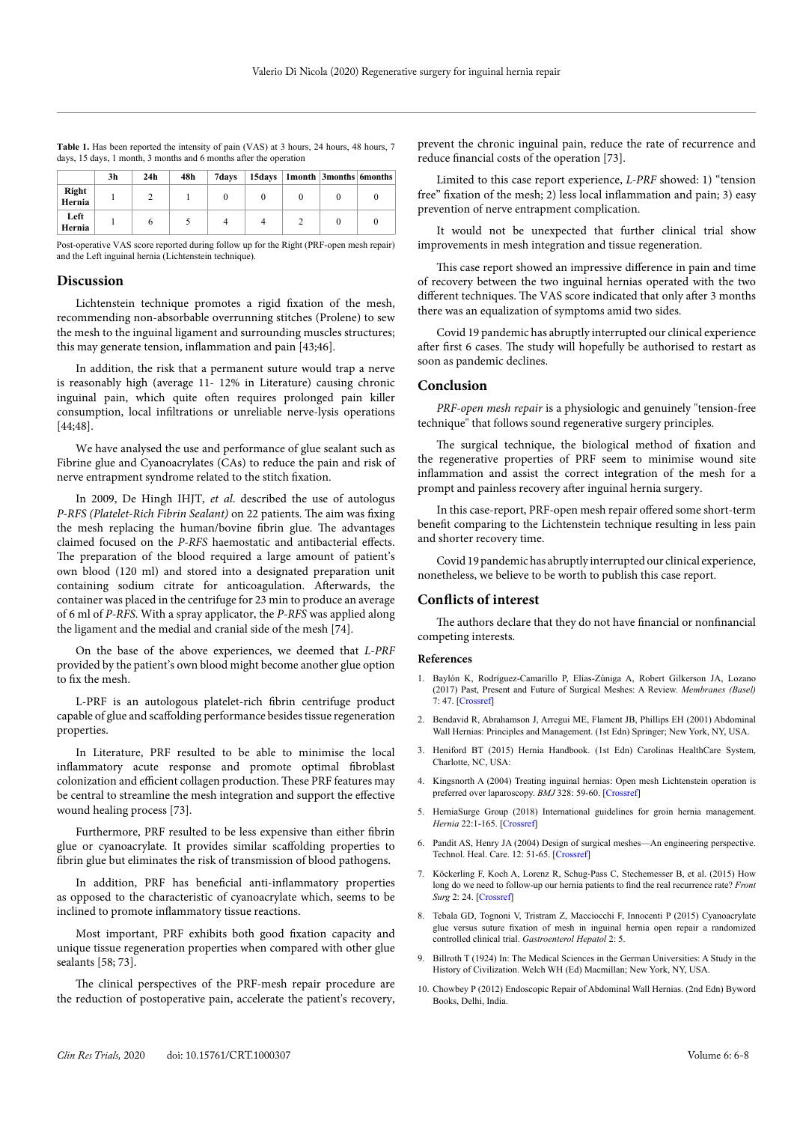|  | <b>Table 1.</b> Has been reported the intensity of pain (VAS) at 3 hours, 24 hours, 48 hours, 7 |  |  |
|--|-------------------------------------------------------------------------------------------------|--|--|
|  | days, 15 days, 1 month, 3 months and 6 months after the operation                               |  |  |

|                 | 3h | 24 <sub>h</sub> | 48h | 7days |  | 15days   1month   3months   6months |  |
|-----------------|----|-----------------|-----|-------|--|-------------------------------------|--|
| Right<br>Hernia |    |                 |     |       |  |                                     |  |
| Left<br>Hernia  |    |                 |     |       |  |                                     |  |

Post-operative VAS score reported during follow up for the Right (PRF-open mesh repair) and the Left inguinal hernia (Lichtenstein technique).

# **Discussion**

Lichtenstein technique promotes a rigid fixation of the mesh, recommending non-absorbable overrunning stitches (Prolene) to sew the mesh to the inguinal ligament and surrounding muscles structures; this may generate tension, inflammation and pain [43;46].

In addition, the risk that a permanent suture would trap a nerve is reasonably high (average 11- 12% in Literature) causing chronic inguinal pain, which quite often requires prolonged pain killer consumption, local infiltrations or unreliable nerve-lysis operations [44;48].

We have analysed the use and performance of glue sealant such as Fibrine glue and Cyanoacrylates (CAs) to reduce the pain and risk of nerve entrapment syndrome related to the stitch fixation.

In 2009, De Hingh IHJT, *et al*. described the use of autologus *P-RFS (Platelet-Rich Fibrin Sealant)* on 22 patients. The aim was fixing the mesh replacing the human/bovine fibrin glue. The advantages claimed focused on the *P-RFS* haemostatic and antibacterial effects. The preparation of the blood required a large amount of patient's own blood (120 ml) and stored into a designated preparation unit containing sodium citrate for anticoagulation. Afterwards, the container was placed in the centrifuge for 23 min to produce an average of 6 ml of *P-RFS*. With a spray applicator, the *P-RFS* was applied along the ligament and the medial and cranial side of the mesh [74].

On the base of the above experiences, we deemed that *L-PRF* provided by the patient's own blood might become another glue option to fix the mesh.

L-PRF is an autologous platelet-rich fibrin centrifuge product capable of glue and scaffolding performance besides tissue regeneration properties.

In Literature, PRF resulted to be able to minimise the local inflammatory acute response and promote optimal fibroblast colonization and efficient collagen production. These PRF features may be central to streamline the mesh integration and support the effective wound healing process [73].

Furthermore, PRF resulted to be less expensive than either fibrin glue or cyanoacrylate. It provides similar scaffolding properties to fibrin glue but eliminates the risk of transmission of blood pathogens.

In addition, PRF has beneficial anti-inflammatory properties as opposed to the characteristic of cyanoacrylate which, seems to be inclined to promote inflammatory tissue reactions.

Most important, PRF exhibits both good fixation capacity and unique tissue regeneration properties when compared with other glue sealants [58; 73].

The clinical perspectives of the PRF-mesh repair procedure are the reduction of postoperative pain, accelerate the patient's recovery, prevent the chronic inguinal pain, reduce the rate of recurrence and reduce financial costs of the operation [73].

Limited to this case report experience, *L-PRF* showed: 1) "tension free" fixation of the mesh; 2) less local inflammation and pain; 3) easy prevention of nerve entrapment complication.

It would not be unexpected that further clinical trial show improvements in mesh integration and tissue regeneration.

This case report showed an impressive difference in pain and time of recovery between the two inguinal hernias operated with the two different techniques. The VAS score indicated that only after 3 months there was an equalization of symptoms amid two sides.

Covid 19 pandemic has abruptly interrupted our clinical experience after first 6 cases. The study will hopefully be authorised to restart as soon as pandemic declines.

# **Conclusion**

*PRF-open mesh repair* is a physiologic and genuinely "tension-free technique" that follows sound regenerative surgery principles.

The surgical technique, the biological method of fixation and the regenerative properties of PRF seem to minimise wound site inflammation and assist the correct integration of the mesh for a prompt and painless recovery after inguinal hernia surgery.

In this case-report, PRF-open mesh repair offered some short-term benefit comparing to the Lichtenstein technique resulting in less pain and shorter recovery time.

Covid 19 pandemic has abruptly interrupted our clinical experience, nonetheless, we believe to be worth to publish this case report.

# **Conflicts of interest**

The authors declare that they do not have financial or nonfinancial competing interests.

#### **References**

- 1. Baylón K, Rodríguez-Camarillo P, Elías-Zúniga A, Robert Gilkerson JA, Lozano (2017) Past, Present and Future of Surgical Meshes: A Review. *Membranes (Basel)*  7: 47. [\[Crossref\]](https://pubmed.ncbi.nlm.nih.gov/28829367/)
- 2. Bendavid R, Abrahamson J, Arregui ME, Flament JB, Phillips EH (2001) Abdominal Wall Hernias: Principles and Management. (1st Edn) Springer; New York, NY, USA.
- 3. Heniford BT (2015) Hernia Handbook. (1st Edn) Carolinas HealthCare System, Charlotte, NC, USA:
- 4. Kingsnorth A (2004) Treating inguinal hernias: Open mesh Lichtenstein operation is preferred over laparoscopy. *BMJ* 328: 59-60. [\[Crossref\]](https://www.ncbi.nlm.nih.gov/pmc/articles/PMC314035/)
- 5. HerniaSurge Group (2018) International guidelines for groin hernia management. *Hernia* 22:1-165. [\[Crossref\]](https://www.ncbi.nlm.nih.gov/pmc/articles/PMC5809582/)
- 6. Pandit AS, Henry JA (2004) Design of surgical meshes—An engineering perspective. Technol. Heal. Care. 12: 51-65. [\[Crossref\]](https://pubmed.ncbi.nlm.nih.gov/15096687/)
- 7. Köckerling F, Koch A, Lorenz R, Schug-Pass C, Stechemesser B, et al. (2015) How long do we need to follow-up our hernia patients to find the real recurrence rate? *Front Surg* 2: 24. [\[Crossref\]](https://www.ncbi.nlm.nih.gov/pmc/articles/PMC4468742/)
- 8. Tebala GD, Tognoni V, Tristram Z, Macciocchi F, Innocenti P (2015) Cyanoacrylate glue versus suture fixation of mesh in inguinal hernia open repair a randomized controlled clinical trial. *Gastroenterol Hepatol* 2: 5.
- 9. Billroth T (1924) In: The Medical Sciences in the German Universities: A Study in the History of Civilization. Welch WH (Ed) Macmillan; New York, NY, USA.
- 10. Chowbey P (2012) Endoscopic Repair of Abdominal Wall Hernias. (2nd Edn) Byword Books, Delhi, India.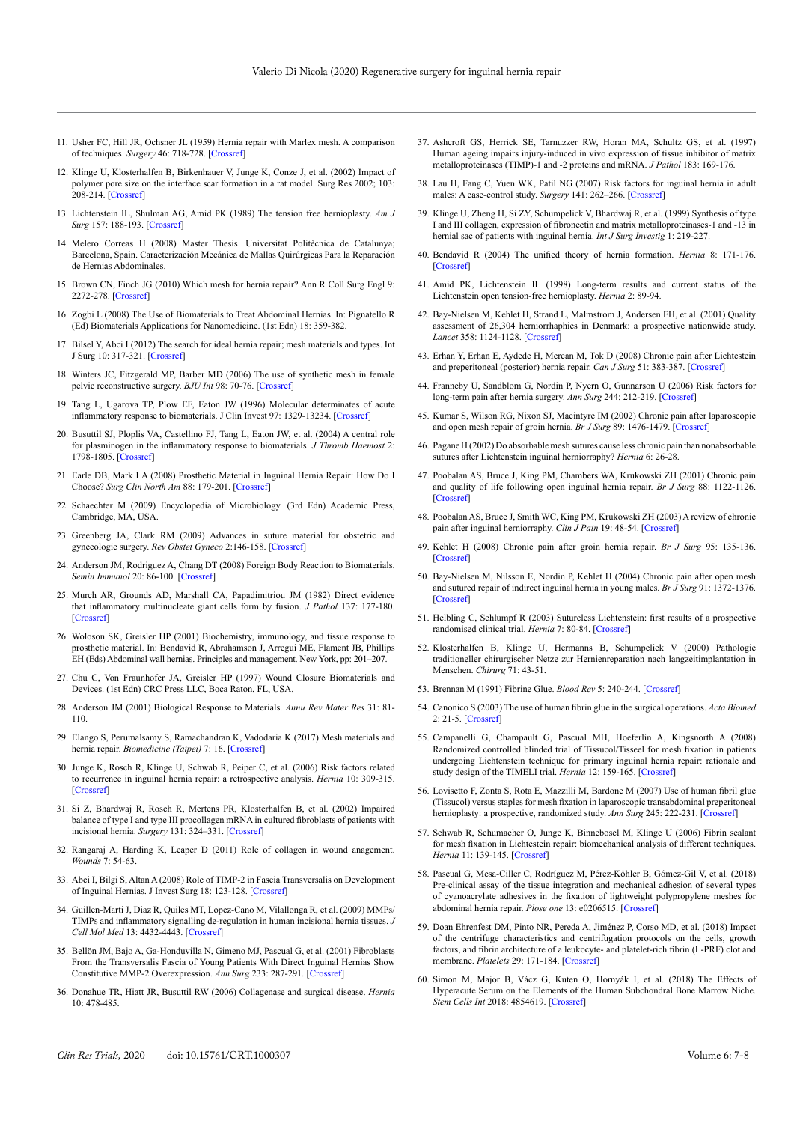- 11. Usher FC, Hill JR, Ochsner JL (1959) Hernia repair with Marlex mesh. A comparison of techniques. *Surgery* 46: 718-728. [\[Crossref\]](https://pubmed.ncbi.nlm.nih.gov/13840514/)
- 12. Klinge U, Klosterhalfen B, Birkenhauer V, Junge K, Conze J, et al. (2002) Impact of polymer pore size on the interface scar formation in a rat model. Surg Res 2002; 103: 208-214. [\[Crossref\]](https://pubmed.ncbi.nlm.nih.gov/11922736/)
- 13. Lichtenstein IL, Shulman AG, Amid PK (1989) The tension free hernioplasty. *Am J Surg* 157: 188-193. [\[Crossref\]](https://pubmed.ncbi.nlm.nih.gov/2916733/)
- 14. Melero Correas H (2008) Master Thesis. Universitat Politècnica de Catalunya; Barcelona, Spain. Caracterización Mecánica de Mallas Quirúrgicas Para la Reparación de Hernias Abdominales.
- 15. Brown CN, Finch JG (2010) Which mesh for hernia repair? Ann R Coll Surg Engl 9: 2272-278. [\[Crossref\]](https://pubmed.ncbi.nlm.nih.gov/20501011/)
- 16. Zogbi L (2008) The Use of Biomaterials to Treat Abdominal Hernias. In: Pignatello R (Ed) Biomaterials Applications for Nanomedicine. (1st Edn) 18: 359-382.
- 17. Bilsel Y, Abci I (2012) The search for ideal hernia repair; mesh materials and types. Int J Surg 10: 317-321. [\[Crossref\]](https://pubmed.ncbi.nlm.nih.gov/22588090/)
- 18. Winters JC, Fitzgerald MP, Barber MD (2006) The use of synthetic mesh in female pelvic reconstructive surgery. *BJU Int* 98: 70-76. [\[Crossref\]](https://pubmed.ncbi.nlm.nih.gov/16911608/)
- 19. Tang L, Ugarova TP, Plow EF, Eaton JW (1996) Molecular determinates of acute inflammatory response to biomaterials. J Clin Invest 97: 1329-13234. [\[Crossref\]](https://www.ncbi.nlm.nih.gov/pmc/articles/PMC507187/)
- 20. Busuttil SJ, Ploplis VA, Castellino FJ, Tang L, Eaton JW, et al. (2004) A central role for plasminogen in the inflammatory response to biomaterials. *J Thromb Haemost* 2: 1798-1805. [\[Crossref\]](https://pubmed.ncbi.nlm.nih.gov/15456492/)
- 21. Earle DB, Mark LA (2008) Prosthetic Material in Inguinal Hernia Repair: How Do I Choose? *Surg Clin North Am* 88: 179-201. [\[Crossref\]](https://pubmed.ncbi.nlm.nih.gov/18267169/)
- 22. Schaechter M (2009) Encyclopedia of Microbiology. (3rd Edn) Academic Press, Cambridge, MA, USA.
- 23. Greenberg JA, Clark RM (2009) Advances in suture material for obstetric and gynecologic surgery. *Rev Obstet Gyneco* 2:146-158. [\[Crossref\]](https://www.ncbi.nlm.nih.gov/pmc/articles/PMC2760901/)
- 24. Anderson JM, Rodriguez A, Chang DT (2008) Foreign Body Reaction to Biomaterials. *Semin Immunol* 20: 86-100. [\[Crossref\]](https://pubmed.ncbi.nlm.nih.gov/18162407/)
- 25. Murch AR, Grounds AD, Marshall CA, Papadimitriou JM (1982) Direct evidence that inflammatory multinucleate giant cells form by fusion. *J Pathol* 137: 177-180. [\[Crossref\]](https://pubmed.ncbi.nlm.nih.gov/7097396/)
- 26. Woloson SK, Greisler HP (2001) Biochemistry, immunology, and tissue response to prosthetic material. In: Bendavid R, Abrahamson J, Arregui ME, Flament JB, Phillips EH (Eds) Abdominal wall hernias. Principles and management. New York, pp: 201–207.
- 27. Chu C, Von Fraunhofer JA, Greisler HP (1997) Wound Closure Biomaterials and Devices. (1st Edn) CRC Press LLC, Boca Raton, FL, USA.
- 28. Anderson JM (2001) Biological Response to Materials. *Annu Rev Mater Res* 31: 81- 110.
- 29. Elango S, Perumalsamy S, Ramachandran K, Vadodaria K (2017) Mesh materials and hernia repair. *Biomedicine (Taipei)* 7: 16. [\[Crossref\]](https://pubmed.ncbi.nlm.nih.gov/28840830/)
- 30. Junge K, Rosch R, Klinge U, Schwab R, Peiper C, et al. (2006) Risk factors related to recurrence in inguinal hernia repair: a retrospective analysis. *Hernia* 10: 309-315. [\[Crossref\]](https://pubmed.ncbi.nlm.nih.gov/16721504/)
- 31. Si Z, Bhardwaj R, Rosch R, Mertens PR, Klosterhalfen B, et al. (2002) Impaired balance of type I and type III procollagen mRNA in cultured fibroblasts of patients with incisional hernia. *Surgery* 131: 324–331. [\[Crossref\]](https://www.ncbi.nlm.nih.gov/pubmed/11894038)
- 32. Rangaraj A, Harding K, Leaper D (2011) Role of collagen in wound anagement. *Wounds* 7: 54-63
- 33. Abci I, Bilgi S, Altan A (2008) Role of TIMP-2 in Fascia Transversalis on Development of Inguinal Hernias. J Invest Surg 18: 123-128. [\[Crossref\]](https://www.ncbi.nlm.nih.gov/pubmed/16036783)
- 34. Guillen-Marti J, Diaz R, Quiles MT, Lopez-Cano M, Vilallonga R, et al. (2009) MMPs/ TIMPs and inflammatory signalling de-regulation in human incisional hernia tissues. *J Cell Mol Med* 13: 4432-4443. [\[Crossref\]](https://www.ncbi.nlm.nih.gov/pmc/articles/PMC4515059/)
- 35. Bellön JM, Bajo A, Ga-Honduvilla N, Gimeno MJ, Pascual G, et al. (2001) Fibroblasts From the Transversalis Fascia of Young Patients With Direct Inguinal Hernias Show Constitutive MMP-2 Overexpression. *Ann Surg* 233: 287-291. [\[Crossref\]](https://www.ncbi.nlm.nih.gov/pmc/articles/PMC1421213/)
- 36. Donahue TR, Hiatt JR, Busuttil RW (2006) Collagenase and surgical disease. *Hernia* 10: 478-485.
- 37. Ashcroft GS, Herrick SE, Tarnuzzer RW, Horan MA, Schultz GS, et al. (1997) Human ageing impairs injury-induced in vivo expression of tissue inhibitor of matrix metalloproteinases (TIMP)-1 and -2 proteins and mRNA. *J Pathol* 183: 169-176.
- 38. Lau H, Fang C, Yuen WK, Patil NG (2007) Risk factors for inguinal hernia in adult males: A case-control study. *Surgery* 141: 262–266. [\[Crossref\]](https://www.ncbi.nlm.nih.gov/pubmed/17263984)
- 39. Klinge U, Zheng H, Si ZY, Schumpelick V, Bhardwaj R, et al. (1999) Synthesis of type I and III collagen, expression of fibronectin and matrix metalloproteinases-1 and -13 in hernial sac of patients with inguinal hernia. *Int J Surg Investig* 1: 219-227.
- 40. Bendavid R (2004) The unified theory of hernia formation. *Hernia* 8: 171-176. [\[Crossref\]](https://pubmed.ncbi.nlm.nih.gov/15293113/)
- 41. Amid PK, Lichtenstein IL (1998) Long-term results and current status of the Lichtenstein open tension-free hernioplasty. *Hernia* 2: 89-94.
- 42. Bay-Nielsen M, Kehlet H, Strand L, Malmstrom J, Andersen FH, et al. (2001) Quality assessment of 26,304 herniorrhaphies in Denmark: a prospective nationwide study. *Lancet* 358: 1124-1128. [\[Crossref\]](https://www.ncbi.nlm.nih.gov/pubmed/11597665)
- 43. Erhan Y, Erhan E, Aydede H, Mercan M, Tok D (2008) Chronic pain after Lichtestein and preperitoneal (posterior) hernia repair. *Can J Surg* 51: 383-387. [\[Crossref\]](https://www.ncbi.nlm.nih.gov/pmc/articles/PMC2556532/)
- 44. Franneby U, Sandblom G, Nordin P, Nyern O, Gunnarson U (2006) Risk factors for long-term pain after hernia surgery. *Ann Surg* 244: 212-219. [\[Crossref\]](https://pubmed.ncbi.nlm.nih.gov/16858183/)
- 45. Kumar S, Wilson RG, Nixon SJ, Macintyre IM (2002) Chronic pain after laparoscopic and open mesh repair of groin hernia. *Br J Surg* 89: 1476-1479. [\[Crossref\]](https://www.ncbi.nlm.nih.gov/pubmed/12594678)
- 46. Pagane H (2002) Do absorbable mesh sutures cause less chronic pain than nonabsorbable sutures after Lichtenstein inguinal herniorraphy? *Hernia* 6: 26-28.
- 47. Poobalan AS, Bruce J, King PM, Chambers WA, Krukowski ZH (2001) Chronic pain and quality of life following open inguinal hernia repair. *Br J Surg* 88: 1122-1126. [\[Crossref\]](https://pubmed.ncbi.nlm.nih.gov/11488800/)
- 48. Poobalan AS, Bruce J, Smith WC, King PM, Krukowski ZH (2003) A review of chronic pain after inguinal herniorraphy. *Clin J Pain* 19: 48-54. [\[Crossref\]](https://pubmed.ncbi.nlm.nih.gov/12514456/)
- 49. Kehlet H (2008) Chronic pain after groin hernia repair. *Br J Surg* 95: 135-136. [\[Crossref\]](https://pubmed.ncbi.nlm.nih.gov/18196556/)
- 50. Bay-Nielsen M, Nilsson E, Nordin P, Kehlet H (2004) Chronic pain after open mesh and sutured repair of indirect inguinal hernia in young males. *Br J Surg* 91: 1372-1376. [\[Crossref\]](https://pubmed.ncbi.nlm.nih.gov/15376186/)
- 51. Helbling C, Schlumpf R (2003) Sutureless Lichtenstein: first results of a prospective randomised clinical trial. *Hernia* 7: 80-84. [\[Crossref\]](https://pubmed.ncbi.nlm.nih.gov/12820029/)
- 52. Klosterhalfen B, Klinge U, Hermanns B, Schumpelick V (2000) Pathologie traditioneller chirurgischer Netze zur Hernienreparation nach langzeitimplantation in Menschen. *Chirurg* 71: 43-51.
- 53. Brennan M (1991) Fibrine Glue. *Blood Rev* 5: 240-244. [\[Crossref\]](https://pubmed.ncbi.nlm.nih.gov/1782483/)
- 54. Canonico S (2003) The use of human fibrin glue in the surgical operations. *Acta Biomed* 2: 21-5. [\[Crossref\]](https://pubmed.ncbi.nlm.nih.gov/15055028/)
- 55. Campanelli G, Champault G, Pascual MH, Hoeferlin A, Kingsnorth A (2008) Randomized controlled blinded trial of Tissucol/Tisseel for mesh fixation in patients undergoing Lichtenstein technique for primary inguinal hernia repair: rationale and study design of the TIMELI trial. *Hernia* 12: 159-165. [\[Crossref\]](https://www.ncbi.nlm.nih.gov/pubmed/22395092)
- 56. Lovisetto F, Zonta S, Rota E, Mazzilli M, Bardone M (2007) Use of human fibril glue (Tissucol) versus staples for mesh fixation in laparoscopic transabdominal preperitoneal hernioplasty: a prospective, randomized study. Ann Surg 245: 222-231. [\[Crossref\]](https://pubmed.ncbi.nlm.nih.gov/17245175/)
- 57. Schwab R, Schumacher O, Junge K, Binnebosel M, Klinge U (2006) Fibrin sealant for mesh fixation in Lichtestein repair: biomechanical analysis of different techniques. *Hernia* 11: 139-145. [\[Crossref\]](https://pubmed.ncbi.nlm.nih.gov/17252181/)
- 58. Pascual G, Mesa-Ciller C, Rodríguez M, Pérez-Köhler B, Gómez-Gil V, et al. (2018) Pre-clinical assay of the tissue integration and mechanical adhesion of several types of cyanoacrylate adhesives in the fixation of lightweight polypropylene meshes for abdominal hernia repair. *Plose one* 13: e0206515. [\[Crossref\]](https://www.ncbi.nlm.nih.gov/pubmed/30388135)
- 59. Doan Ehrenfest DM, Pinto NR, Pereda A, Jiménez P, Corso MD, et al. (2018) Impact of the centrifuge characteristics and centrifugation protocols on the cells, growth factors, and fibrin architecture of a leukocyte- and platelet-rich fibrin (L-PRF) clot and membrane. *Platelets* 29: 171-184. [\[Crossref\]](https://pubmed.ncbi.nlm.nih.gov/28437133/)
- 60. Simon M, Major B, Vácz G, Kuten O, Hornyák I, et al. (2018) The Effects of Hyperacute Serum on the Elements of the Human Subchondral Bone Marrow Niche. *Stem Cells Int* 2018: 4854619. [\[Crossref\]](https://pubmed.ncbi.nlm.nih.gov/29760725/)